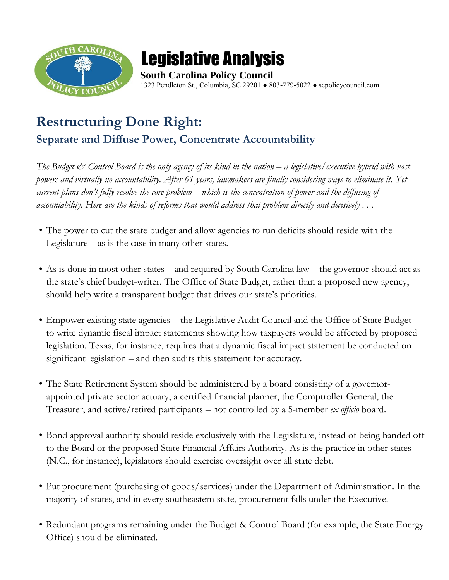

## Legislative Analysis

**South Carolina Policy Council**  1323 Pendleton St., Columbia, SC 29201 ● 803-779-5022 ● scpolicycouncil.com

## **Restructuring Done Right: Separate and Diffuse Power, Concentrate Accountability**

*The Budget & Control Board is the only agency of its kind in the nation – a legislative/executive hybrid with vast powers and virtually no accountability. After 61 years, lawmakers are finally considering ways to eliminate it. Yet current plans don't fully resolve the core problem – which is the concentration of power and the diffusing of accountability. Here are the kinds of reforms that would address that problem directly and decisively . . .* 

- The power to cut the state budget and allow agencies to run deficits should reside with the Legislature – as is the case in many other states.
- As is done in most other states and required by South Carolina law the governor should act as the state's chief budget-writer. The Office of State Budget, rather than a proposed new agency, should help write a transparent budget that drives our state's priorities.
- Empower existing state agencies the Legislative Audit Council and the Office of State Budget to write dynamic fiscal impact statements showing how taxpayers would be affected by proposed legislation. Texas, for instance, requires that a dynamic fiscal impact statement be conducted on significant legislation – and then audits this statement for accuracy.
- The State Retirement System should be administered by a board consisting of a governorappointed private sector actuary, a certified financial planner, the Comptroller General, the Treasurer, and active/retired participants – not controlled by a 5-member *ex officio* board.
- Bond approval authority should reside exclusively with the Legislature, instead of being handed off to the Board or the proposed State Financial Affairs Authority. As is the practice in other states (N.C., for instance), legislators should exercise oversight over all state debt.
- Put procurement (purchasing of goods/services) under the Department of Administration. In the majority of states, and in every southeastern state, procurement falls under the Executive.
- Redundant programs remaining under the Budget & Control Board (for example, the State Energy Office) should be eliminated.